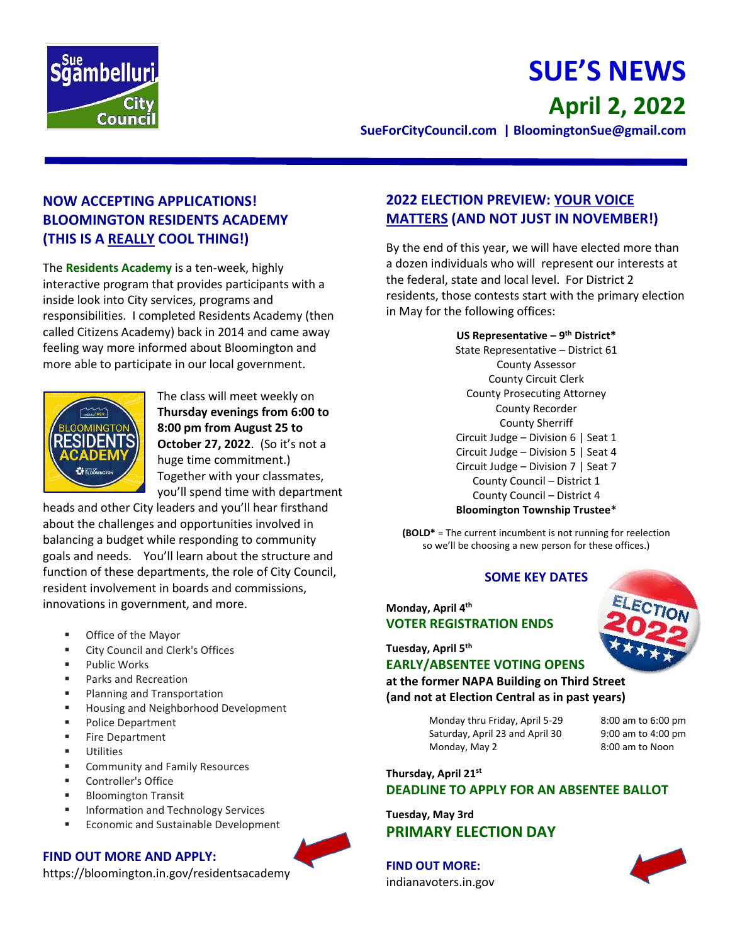

# **SUE'S NEWS April 2, 2022**

**SueForCityCouncil.com | BloomingtonSue@gmail.com** 

# **NOW ACCEPTING APPLICATIONS! BLOOMINGTON RESIDENTS ACADEMY (THIS IS A REALLY COOL THING!)**

The **Residents Academy** is a ten-week, highly interactive program that provides participants with a inside look into City services, programs and responsibilities. I completed Residents Academy (then called Citizens Academy) back in 2014 and came away feeling way more informed about Bloomington and more able to participate in our local government.



The class will meet weekly on **Thursday evenings from 6:00 to 8:00 pm from August 25 to October 27, 2022**. (So it's not a huge time commitment.) Together with your classmates, you'll spend time with department

heads and other City leaders and you'll hear firsthand about the challenges and opportunities involved in balancing a budget while responding to community goals and needs. You'll learn about the structure and function of these departments, the role of City Council, resident involvement in boards and commissions, innovations in government, and more.

- Office of the Mayor
- City Council and Clerk's Offices
- Public Works
- Parks and Recreation
- Planning and Transportation
- Housing and Neighborhood Development
- Police Department
- **Fire Department**
- Utilities
- Community and Family Resources
- Controller's Office
- **Bloomington Transit**
- Information and Technology Services
- **Economic and Sustainable Development**

#### **FIND OUT MORE AND APPLY:**

https://bloomington.in.gov/residentsacademy

## **2022 ELECTION PREVIEW: YOUR VOICE MATTERS (AND NOT JUST IN NOVEMBER!)**

By the end of this year, we will have elected more than a dozen individuals who will represent our interests at the federal, state and local level. For District 2 residents, those contests start with the primary election in May for the following offices:

> **US Representative – 9 th District\*** State Representative – District 61 County Assessor County Circuit Clerk County Prosecuting Attorney County Recorder County Sherriff Circuit Judge – Division 6 | Seat 1 Circuit Judge – Division 5 | Seat 4 Circuit Judge – Division 7 | Seat 7 County Council – District 1 County Council – District 4 **Bloomington Township Trustee\***

**(BOLD\*** = The current incumbent is not running for reelection so we'll be choosing a new person for these offices.)

#### **SOME KEY DATES**

### **Monday, April 4th VOTER REGISTRATION ENDS**

#### **Tuesday, April 5th**

**EARLY/ABSENTEE VOTING OPENS at the former NAPA Building on Third Street (and not at Election Central as in past years)**

> Monday thru Friday, April 5-29 8:00 am to 6:00 pm Saturday, April 23 and April 30 9:00 am to 4:00 pm Monday, May 2 8:00 am to Noon

## **Thursday, April 21st DEADLINE TO APPLY FOR AN ABSENTEE BALLOT**

**Tuesday, May 3rd PRIMARY ELECTION DAY**

**FIND OUT MORE:** indianavoters.in.gov